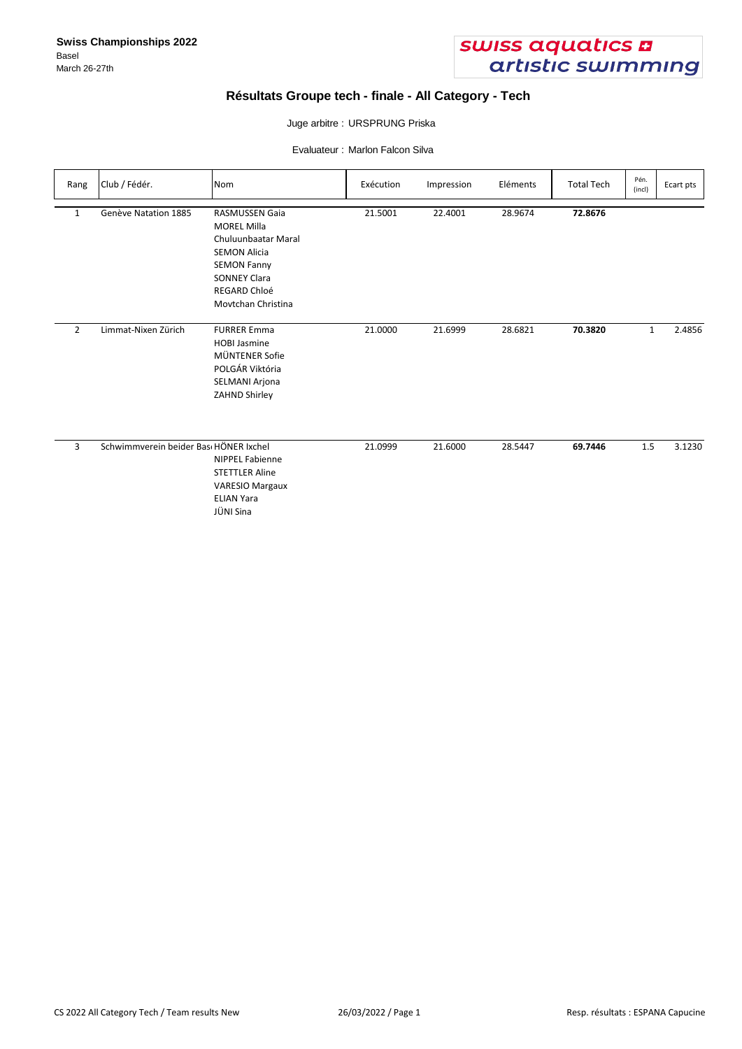

# **Résultats Groupe tech - finale - All Category - Tech**

### Juge arbitre : URSPRUNG Priska

Evaluateur : Marlon Falcon Silva

| Rang           | Club / Fédér.                         | Nom                                                                                                                                                                                 | Exécution | Impression | Eléments | <b>Total Tech</b> | Pén.<br>(incl) | Ecart pts |
|----------------|---------------------------------------|-------------------------------------------------------------------------------------------------------------------------------------------------------------------------------------|-----------|------------|----------|-------------------|----------------|-----------|
| $\mathbf{1}$   | Genève Natation 1885                  | <b>RASMUSSEN Gaia</b><br><b>MOREL Milla</b><br>Chuluunbaatar Maral<br><b>SEMON Alicia</b><br><b>SEMON Fanny</b><br><b>SONNEY Clara</b><br><b>REGARD Chloé</b><br>Movtchan Christina | 21.5001   | 22.4001    | 28.9674  | 72.8676           |                |           |
| $\overline{2}$ | Limmat-Nixen Zürich                   | <b>FURRER Emma</b><br><b>HOBI Jasmine</b><br>MÜNTENER Sofie<br>POLGÁR Viktória<br>SELMANI Arjona<br>ZAHND Shirley                                                                   | 21.0000   | 21.6999    | 28.6821  | 70.3820           | $\mathbf{1}$   | 2.4856    |
| 3              | Schwimmverein beider Bas HÖNER Ixchel | <b>NIPPEL Fabienne</b><br><b>STETTLER Aline</b><br><b>VARESIO Margaux</b><br><b>ELIAN Yara</b><br>JÜNI Sina                                                                         | 21.0999   | 21.6000    | 28.5447  | 69.7446           | 1.5            | 3.1230    |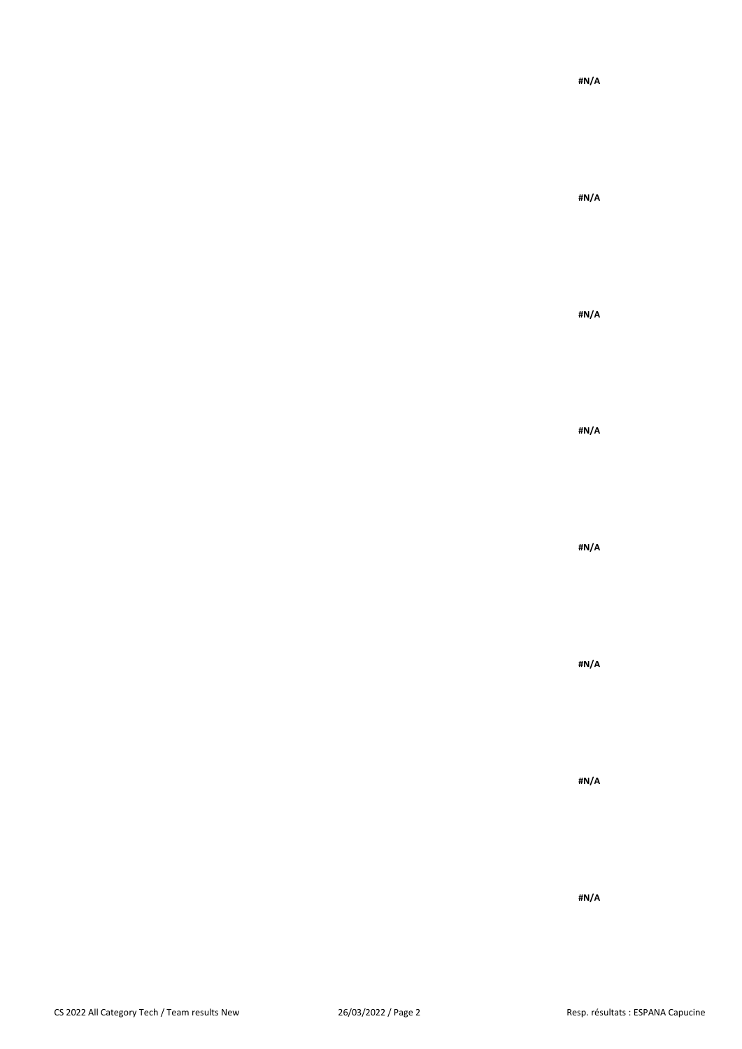**#N/A**

**#N/A**

**#N/A**

**#N/A**

**#N/A**

**#N/A**

**#N/A**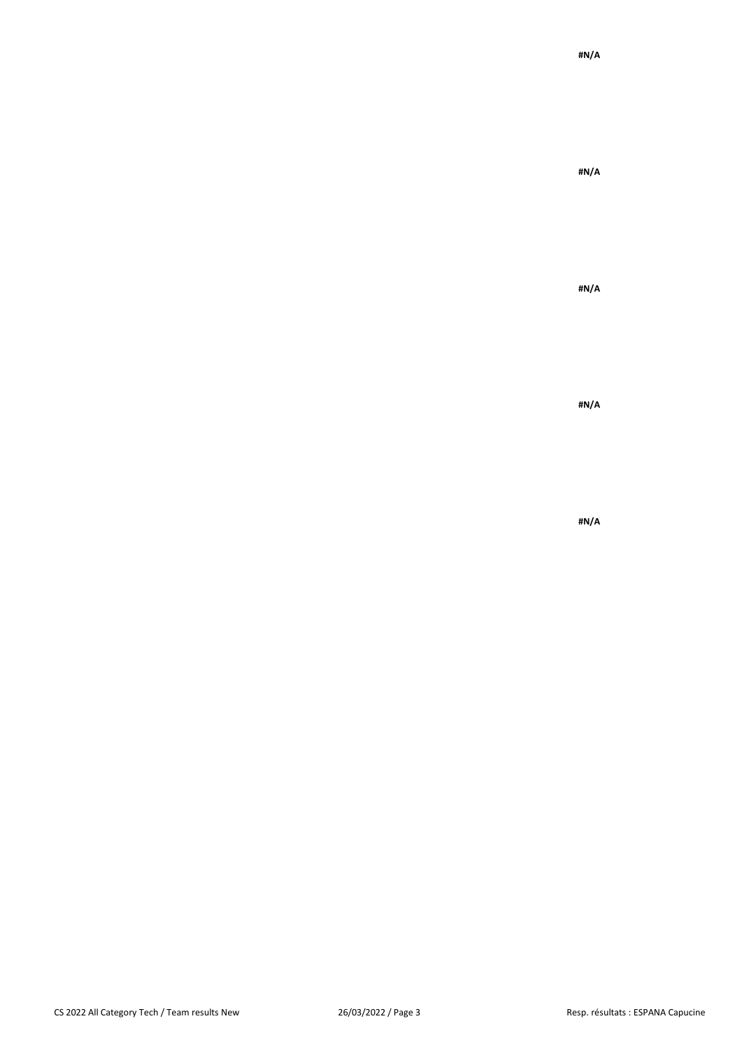**#N/A**

**#N/A**

**#N/A**

**#N/A**